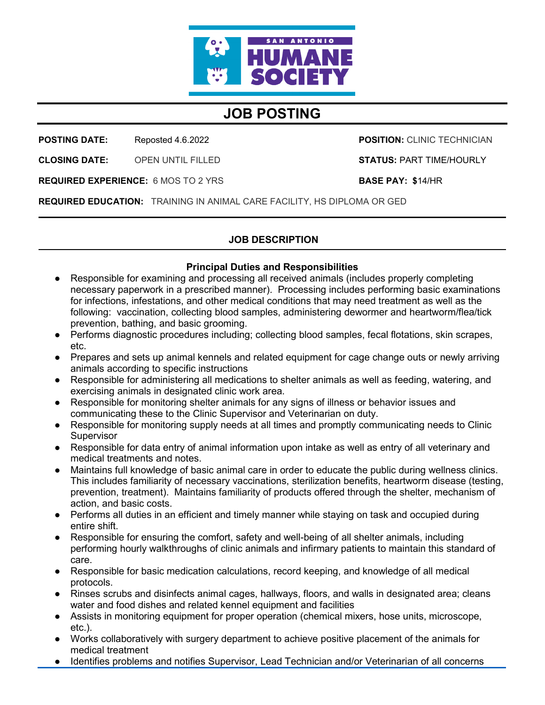

# **JOB POSTING**

**POSTING DATE:** Reposted 4.6.2022

**CLOSING DATE:** OPEN UNTIL FILLED **POSITION:** CLINIC TECHNICIAN

**STATUS:** PART TIME/HOURLY

**REQUIRED EXPERIENCE:** 6 MOS TO 2 YRS

**BASE PAY: \$**14/HR

**REQUIRED EDUCATION:** TRAINING IN ANIMAL CARE FACILITY, HS DIPLOMA OR GED

## **JOB DESCRIPTION**

### **Principal Duties and Responsibilities**

- Responsible for examining and processing all received animals (includes properly completing necessary paperwork in a prescribed manner). Processing includes performing basic examinations for infections, infestations, and other medical conditions that may need treatment as well as the following: vaccination, collecting blood samples, administering dewormer and heartworm/flea/tick prevention, bathing, and basic grooming.
- Performs diagnostic procedures including; collecting blood samples, fecal flotations, skin scrapes, etc.
- Prepares and sets up animal kennels and related equipment for cage change outs or newly arriving animals according to specific instructions
- Responsible for administering all medications to shelter animals as well as feeding, watering, and exercising animals in designated clinic work area.
- Responsible for monitoring shelter animals for any signs of illness or behavior issues and communicating these to the Clinic Supervisor and Veterinarian on duty.
- Responsible for monitoring supply needs at all times and promptly communicating needs to Clinic **Supervisor**
- Responsible for data entry of animal information upon intake as well as entry of all veterinary and medical treatments and notes.
- Maintains full knowledge of basic animal care in order to educate the public during wellness clinics. This includes familiarity of necessary vaccinations, sterilization benefits, heartworm disease (testing, prevention, treatment). Maintains familiarity of products offered through the shelter, mechanism of action, and basic costs.
- Performs all duties in an efficient and timely manner while staying on task and occupied during entire shift.
- Responsible for ensuring the comfort, safety and well-being of all shelter animals, including performing hourly walkthroughs of clinic animals and infirmary patients to maintain this standard of care.
- Responsible for basic medication calculations, record keeping, and knowledge of all medical protocols.
- Rinses scrubs and disinfects animal cages, hallways, floors, and walls in designated area; cleans water and food dishes and related kennel equipment and facilities
- Assists in monitoring equipment for proper operation (chemical mixers, hose units, microscope, etc.).
- Works collaboratively with surgery department to achieve positive placement of the animals for medical treatment
- Identifies problems and notifies Supervisor, Lead Technician and/or Veterinarian of all concerns